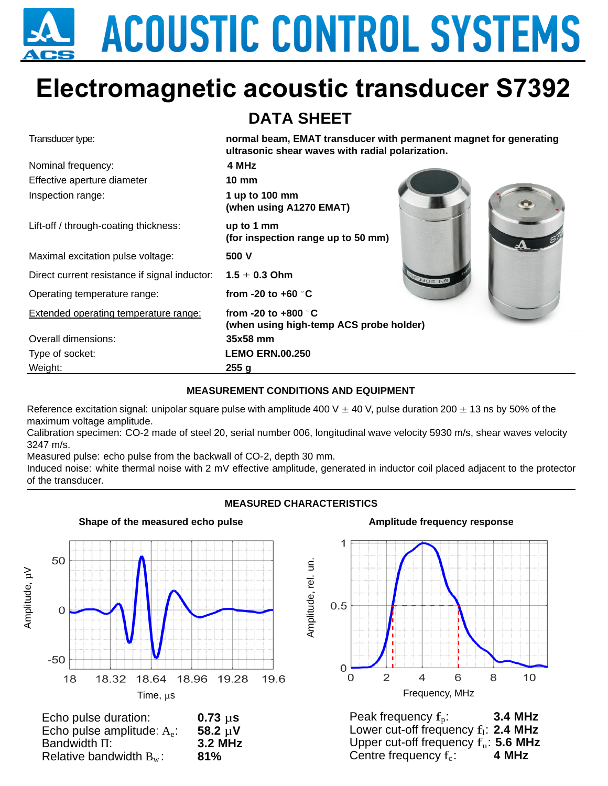# **ACOUSTIC CONTROL SYSTEMS**

# **Electromagnetic acoustic transducer S7392**

## **DATA SHEET**

| Transducer type:                              | normal beam, EMAT transducer with permanent magnet for generating<br>ultrasonic shear waves with radial polarization. |                |
|-----------------------------------------------|-----------------------------------------------------------------------------------------------------------------------|----------------|
| Nominal frequency:                            | 4 MHz                                                                                                                 |                |
| Effective aperture diameter                   | $10 \text{ mm}$                                                                                                       |                |
| Inspection range:                             | 1 up to 100 mm<br>(when using A1270 EMAT)                                                                             |                |
| Lift-off / through-coating thickness:         | up to 1 mm<br>(for inspection range up to 50 mm)                                                                      |                |
| Maximal excitation pulse voltage:             | 500 V                                                                                                                 |                |
| Direct current resistance if signal inductor: | $1.5 \pm 0.3$ Ohm                                                                                                     | <b>BN: 206</b> |
| Operating temperature range:                  | from -20 to +60 $\degree$ C                                                                                           |                |
| <b>Extended operating temperature range:</b>  | from -20 to +800 $\degree$ C<br>(when using high-temp ACS probe holder)                                               |                |
| Overall dimensions:                           | 35x58 mm                                                                                                              |                |
| Type of socket:                               | <b>LEMO ERN.00.250</b>                                                                                                |                |
| Weight:                                       | 255q                                                                                                                  |                |

#### **MEASUREMENT CONDITIONS AND EQUIPMENT**

Reference excitation signal: unipolar square pulse with amplitude 400 V  $\pm$  40 V, pulse duration 200  $\pm$  13 ns by 50% of the maximum voltage amplitude.

Calibration specimen: CO-2 made of steel 20, serial number 006, longitudinal wave velocity 5930 m/s, shear waves velocity 3247 m/s.

Measured pulse: echo pulse from the backwall of CO-2, depth 30 mm.

Induced noise: white thermal noise with 2 mV effective amplitude, generated in inductor coil placed adjacent to the protector of the transducer.

#### **MEASURED CHARACTERISTICS**



| Echo pulse duration:          | $0.73 \mu s$ |
|-------------------------------|--------------|
| Echo pulse amplitude: $A_e$ : | 58.2 $\mu$ V |
| Bandwidth $\Pi$ :             | 3.2 MHz      |
| Relative bandwidth $B_w$ :    | 81%          |

#### **Amplitude frequency response**



Peak frequency  $f_n$ : : **3.4 MHz** Lower cut-off frequency  $f_1$ : **2.4 MHz** Upper cut-off frequency  $f_u$ : **5.6 MHz** Centre frequency  $f_c$ : : **4 MHz**